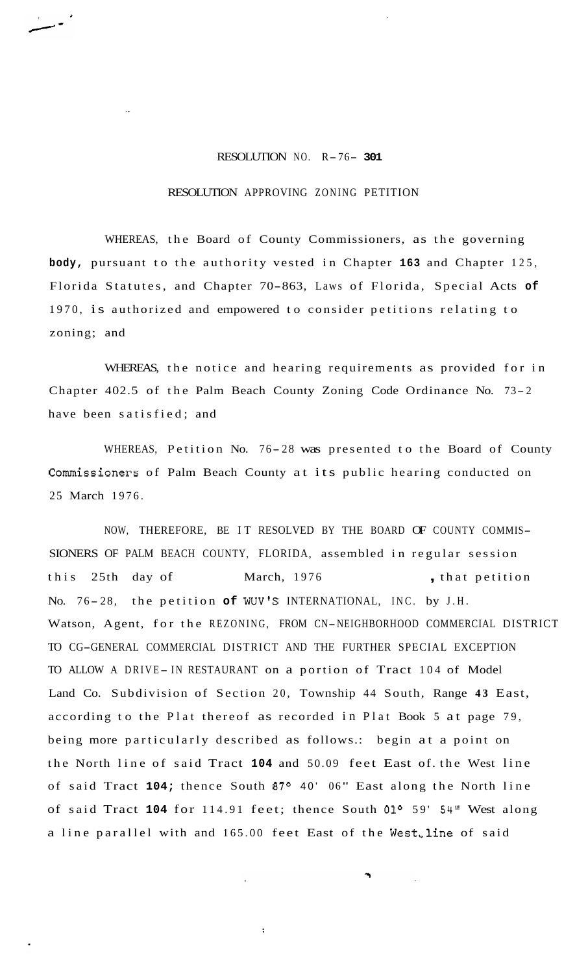## RESOLUTION NO. R- 76- **<sup>301</sup>**

## RESOLUTION APPROVING ZONING PETITION

WHEREAS, the Board of County Commissioners, as the governing **body,** pursuant to the authority vested in Chapter **163** and Chapter 125, Florida Statutes, and Chapter 70-863, Laws of Florida, Special Acts **of**  1970, is authorized and empowered to consider petitions relating to zoning; and

WHEREAS, the notice and hearing requirements as provided for in Chapter 402.5 of the Palm Beach County Zoning Code Ordinance No. 73- <sup>2</sup> have been satisfied; and

WHEREAS, Petition No. 76-28 was presented to the Board of County Commissioners of Palm Beach County at its public hearing conducted on 25 March 1976.

NOW, THEREFORE, BE IT RESOLVED BY THE BOARD OF COUNTY COMMIS-SIONERS OF PALM BEACH COUNTY, FLORIDA, assembled in regular session this 25th day of March, 1976 , that petition No. 76-28, the petition of WUV'S INTERNATIONAL, INC. by J.H. Watson, Agent, for the REZONING, FROM CN-NEIGHBORHOOD COMMERCIAL DISTRICT TO CG-GENERAL COMMERCIAL DISTRICT AND THE FURTHER SPECIAL EXCEPTION TO ALLOW A DRIVE-IN RESTAURANT on a portion of Tract 104 of Model Land Co. Subdivision of Section 20, Township 44 South, Range **43** East, according to the Plat thereof as recorded in Plat Book 5 at page 79, being more particularly described as follows.: begin at a point on the North line of said Tract **104** and 50.09 feet East of. the West line of said Tract 104; thence South 87<sup>o</sup> 40' 06" East along the North line of said Tract **104** for 114.91 feet; thence South **0lo** 59' 54" West along a line parallel with and 165.00 feet East of the West, line of said

 $\ddot{\cdot}$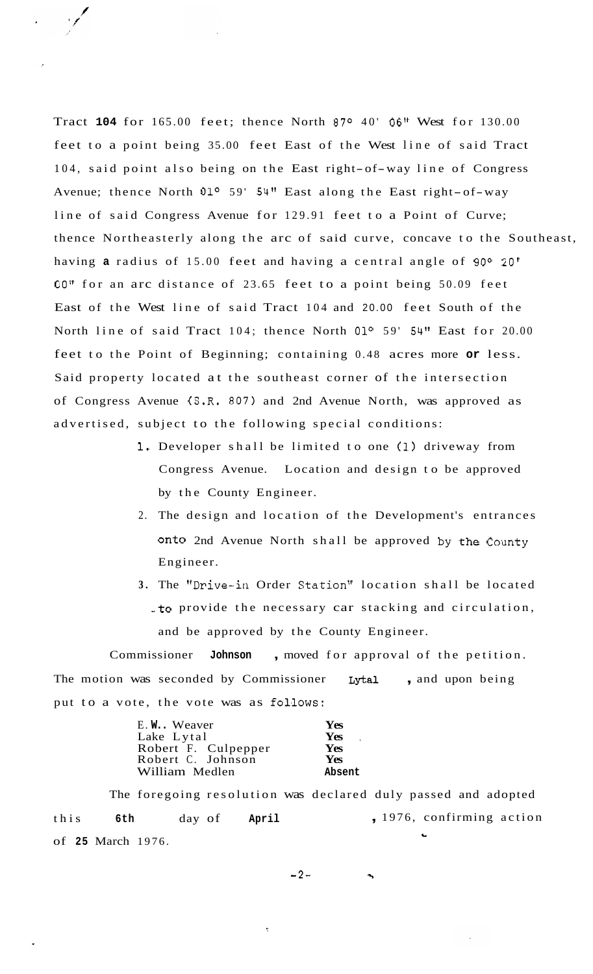Tract 104 for 165.00 feet; thence North 87° 40' 06" West for 130.00 feet to a point being 35.00 feet East of the West line of said Tract 104, said point also being on the East right-of-way line of Congress Avenue; thence North 01<sup>o</sup> 59' 54" East along the East right-of-way line of said Congress Avenue for 129.91 feet to a Point of Curve; thence Northeasterly along the arc of said curve, concave to the Southeast, having **a** radius of 15.00 feet and having a central angle of 90° 20' 00" for an arc distance of 23.65 feet to a point being 50.09 feet East of the West line of said Tract 104 and 20.00 feet South of the North line of said Tract 104; thence North 01° 59' 54" East for 20.00 feet to the Point of Beginning; containing 0.48 acres more **or** less. Said property located at the southeast corner of the intersection of Congress Avenue (S.R. 807) and 2nd Avenue North, was approved as advertised, subject to the following special conditions:

- 1, Developer shall be limited to one **(1)** driveway from Congress Avenue. Location and design to be approved by the County Engineer.
- 2. The design and location of the Development's entrances onto 2nd Avenue North shall be approved by the County Engineer.
- **3.** The "Drive-in Order Station" location shall be located *-to* provide the necessary car stacking and circulation, and be approved by the County Engineer.

Commissioner **Johnson** , moved for approval of the petition. The motion was seconded by Commissioner **Lytal** , and upon being put to a vote, the vote was as follows:

| E.W Weaver          | Yes    |
|---------------------|--------|
| Lake Lytal          | Yes    |
| Robert F. Culpepper | Yes    |
| Robert C. Johnson   | Yes    |
| William Medlen      | Absent |

The foregoing resolution was declared duly passed and adopted this **6th** day of **April**  of **25** March 1976. , 1976, confirming action **h** 

 $-2-$ 

 $\overline{\mathbf{z}}$